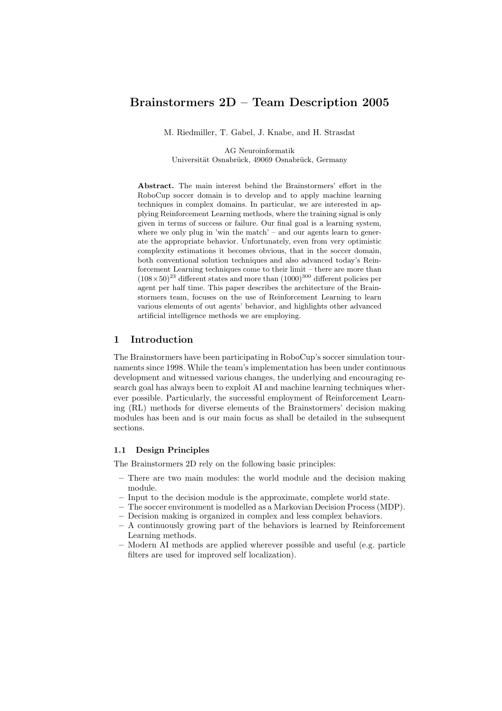# Brainstormers 2D – Team Description 2005

M. Riedmiller, T. Gabel, J. Knabe, and H. Strasdat

AG Neuroinformatik Universität Osnabrück, 49069 Osnabrück, Germany

Abstract. The main interest behind the Brainstormers' effort in the RoboCup soccer domain is to develop and to apply machine learning techniques in complex domains. In particular, we are interested in applying Reinforcement Learning methods, where the training signal is only given in terms of success or failure. Our final goal is a learning system, where we only plug in 'win the match' – and our agents learn to generate the appropriate behavior. Unfortunately, even from very optimistic complexity estimations it becomes obvious, that in the soccer domain, both conventional solution techniques and also advanced today's Reinforcement Learning techniques come to their limit – there are more than  $(108\times50)^{23}$  different states and more than  $(1000)^{300}$  different policies per agent per half time. This paper describes the architecture of the Brainstormers team, focuses on the use of Reinforcement Learning to learn various elements of out agents' behavior, and highlights other advanced artificial intelligence methods we are employing.

### 1 Introduction

The Brainstormers have been participating in RoboCup's soccer simulation tournaments since 1998. While the team's implementation has been under continuous development and witnessed various changes, the underlying and encouraging research goal has always been to exploit AI and machine learning techniques wherever possible. Particularly, the successful employment of Reinforcement Learning (RL) methods for diverse elements of the Brainstormers' decision making modules has been and is our main focus as shall be detailed in the subsequent sections.

### 1.1 Design Principles

The Brainstormers 2D rely on the following basic principles:

- There are two main modules: the world module and the decision making module.
- Input to the decision module is the approximate, complete world state.
- The soccer environment is modelled as a Markovian Decision Process (MDP).
- Decision making is organized in complex and less complex behaviors.
- A continuously growing part of the behaviors is learned by Reinforcement Learning methods.
- Modern AI methods are applied wherever possible and useful (e.g. particle filters are used for improved self localization).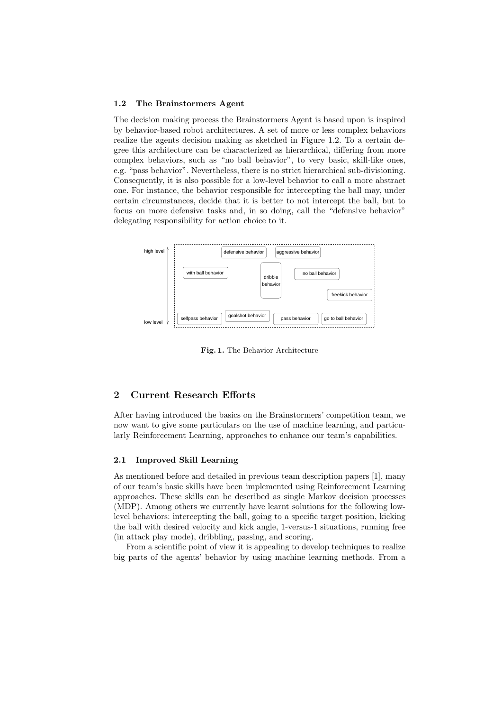#### 1.2 The Brainstormers Agent

The decision making process the Brainstormers Agent is based upon is inspired by behavior-based robot architectures. A set of more or less complex behaviors realize the agents decision making as sketched in Figure 1.2. To a certain degree this architecture can be characterized as hierarchical, differing from more complex behaviors, such as "no ball behavior", to very basic, skill-like ones, e.g. "pass behavior". Nevertheless, there is no strict hierarchical sub-divisioning. Consequently, it is also possible for a low-level behavior to call a more abstract one. For instance, the behavior responsible for intercepting the ball may, under certain circumstances, decide that it is better to not intercept the ball, but to focus on more defensive tasks and, in so doing, call the "defensive behavior" delegating responsibility for action choice to it.



Fig. 1. The Behavior Architecture

# 2 Current Research Efforts

After having introduced the basics on the Brainstormers' competition team, we now want to give some particulars on the use of machine learning, and particularly Reinforcement Learning, approaches to enhance our team's capabilities.

#### 2.1 Improved Skill Learning

As mentioned before and detailed in previous team description papers [1], many of our team's basic skills have been implemented using Reinforcement Learning approaches. These skills can be described as single Markov decision processes (MDP). Among others we currently have learnt solutions for the following lowlevel behaviors: intercepting the ball, going to a specific target position, kicking the ball with desired velocity and kick angle, 1-versus-1 situations, running free (in attack play mode), dribbling, passing, and scoring.

From a scientific point of view it is appealing to develop techniques to realize big parts of the agents' behavior by using machine learning methods. From a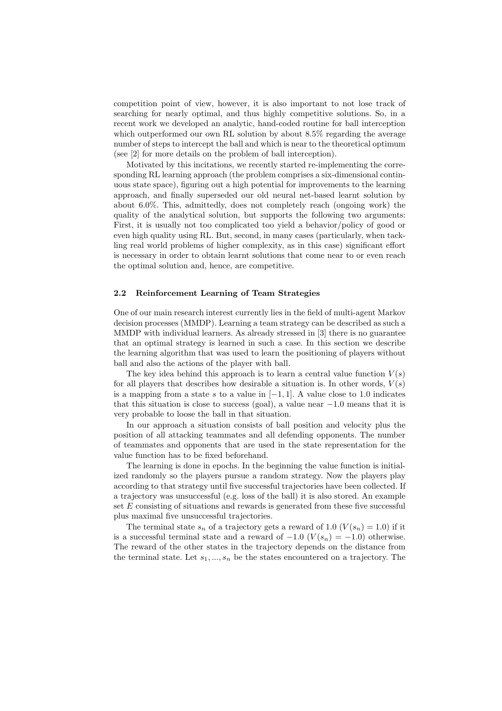competition point of view, however, it is also important to not lose track of searching for nearly optimal, and thus highly competitive solutions. So, in a recent work we developed an analytic, hand-coded routine for ball interception which outperformed our own RL solution by about 8.5% regarding the average number of steps to intercept the ball and which is near to the theoretical optimum (see [2] for more details on the problem of ball interception).

Motivated by this incitations, we recently started re-implementing the corresponding RL learning approach (the problem comprises a six-dimensional continuous state space), figuring out a high potential for improvements to the learning approach, and finally superseded our old neural net-based learnt solution by about 6.0%. This, admittedly, does not completely reach (ongoing work) the quality of the analytical solution, but supports the following two arguments: First, it is usually not too complicated too yield a behavior/policy of good or even high quality using RL. But, second, in many cases (particularly, when tackling real world problems of higher complexity, as in this case) significant effort is necessary in order to obtain learnt solutions that come near to or even reach the optimal solution and, hence, are competitive.

#### 2.2 Reinforcement Learning of Team Strategies

One of our main research interest currently lies in the field of multi-agent Markov decision processes (MMDP). Learning a team strategy can be described as such a MMDP with individual learners. As already stressed in [3] there is no guarantee that an optimal strategy is learned in such a case. In this section we describe the learning algorithm that was used to learn the positioning of players without ball and also the actions of the player with ball.

The key idea behind this approach is to learn a central value function  $V(s)$ for all players that describes how desirable a situation is. In other words,  $V(s)$ is a mapping from a state s to a value in  $[-1, 1]$ . A value close to 1.0 indicates that this situation is close to success (goal), a value near  $-1.0$  means that it is very probable to loose the ball in that situation.

In our approach a situation consists of ball position and velocity plus the position of all attacking teammates and all defending opponents. The number of teammates and opponents that are used in the state representation for the value function has to be fixed beforehand.

The learning is done in epochs. In the beginning the value function is initialized randomly so the players pursue a random strategy. Now the players play according to that strategy until five successful trajectories have been collected. If a trajectory was unsuccessful (e.g. loss of the ball) it is also stored. An example set E consisting of situations and rewards is generated from these five successful plus maximal five unsuccessful trajectories.

The terminal state  $s_n$  of a trajectory gets a reward of 1.0  $(V(s_n) = 1.0)$  if it is a successful terminal state and a reward of  $-1.0$  ( $V(s_n) = -1.0$ ) otherwise. The reward of the other states in the trajectory depends on the distance from the terminal state. Let  $s_1, ..., s_n$  be the states encountered on a trajectory. The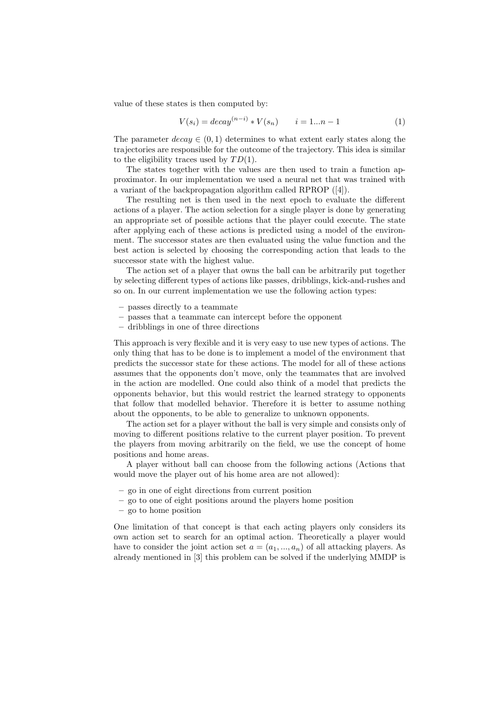value of these states is then computed by:

$$
V(s_i) = decay^{(n-i)} * V(s_n) \qquad i = 1...n - 1 \tag{1}
$$

The parameter  $decay \in (0, 1)$  determines to what extent early states along the trajectories are responsible for the outcome of the trajectory. This idea is similar to the eligibility traces used by  $TD(1)$ .

The states together with the values are then used to train a function approximator. In our implementation we used a neural net that was trained with a variant of the backpropagation algorithm called RPROP ([4]).

The resulting net is then used in the next epoch to evaluate the different actions of a player. The action selection for a single player is done by generating an appropriate set of possible actions that the player could execute. The state after applying each of these actions is predicted using a model of the environment. The successor states are then evaluated using the value function and the best action is selected by choosing the corresponding action that leads to the successor state with the highest value.

The action set of a player that owns the ball can be arbitrarily put together by selecting different types of actions like passes, dribblings, kick-and-rushes and so on. In our current implementation we use the following action types:

- passes directly to a teammate
- passes that a teammate can intercept before the opponent
- dribblings in one of three directions

This approach is very flexible and it is very easy to use new types of actions. The only thing that has to be done is to implement a model of the environment that predicts the successor state for these actions. The model for all of these actions assumes that the opponents don't move, only the teammates that are involved in the action are modelled. One could also think of a model that predicts the opponents behavior, but this would restrict the learned strategy to opponents that follow that modelled behavior. Therefore it is better to assume nothing about the opponents, to be able to generalize to unknown opponents.

The action set for a player without the ball is very simple and consists only of moving to different positions relative to the current player position. To prevent the players from moving arbitrarily on the field, we use the concept of home positions and home areas.

A player without ball can choose from the following actions (Actions that would move the player out of his home area are not allowed):

- go in one of eight directions from current position
- go to one of eight positions around the players home position
- go to home position

One limitation of that concept is that each acting players only considers its own action set to search for an optimal action. Theoretically a player would have to consider the joint action set  $a = (a_1, ..., a_n)$  of all attacking players. As already mentioned in [3] this problem can be solved if the underlying MMDP is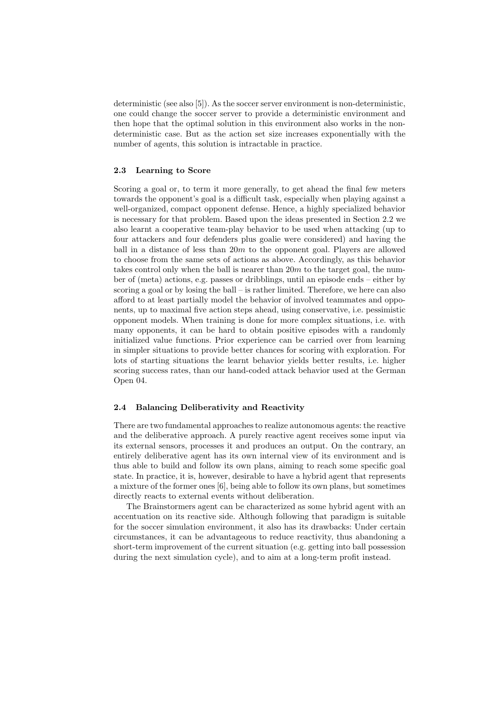deterministic (see also [5]). As the soccer server environment is non-deterministic, one could change the soccer server to provide a deterministic environment and then hope that the optimal solution in this environment also works in the nondeterministic case. But as the action set size increases exponentially with the number of agents, this solution is intractable in practice.

# 2.3 Learning to Score

Scoring a goal or, to term it more generally, to get ahead the final few meters towards the opponent's goal is a difficult task, especially when playing against a well-organized, compact opponent defense. Hence, a highly specialized behavior is necessary for that problem. Based upon the ideas presented in Section 2.2 we also learnt a cooperative team-play behavior to be used when attacking (up to four attackers and four defenders plus goalie were considered) and having the ball in a distance of less than  $20m$  to the opponent goal. Players are allowed to choose from the same sets of actions as above. Accordingly, as this behavior takes control only when the ball is nearer than  $20m$  to the target goal, the number of (meta) actions, e.g. passes or dribblings, until an episode ends – either by scoring a goal or by losing the ball – is rather limited. Therefore, we here can also afford to at least partially model the behavior of involved teammates and opponents, up to maximal five action steps ahead, using conservative, i.e. pessimistic opponent models. When training is done for more complex situations, i.e. with many opponents, it can be hard to obtain positive episodes with a randomly initialized value functions. Prior experience can be carried over from learning in simpler situations to provide better chances for scoring with exploration. For lots of starting situations the learnt behavior yields better results, i.e. higher scoring success rates, than our hand-coded attack behavior used at the German Open 04.

#### 2.4 Balancing Deliberativity and Reactivity

There are two fundamental approaches to realize autonomous agents: the reactive and the deliberative approach. A purely reactive agent receives some input via its external sensors, processes it and produces an output. On the contrary, an entirely deliberative agent has its own internal view of its environment and is thus able to build and follow its own plans, aiming to reach some specific goal state. In practice, it is, however, desirable to have a hybrid agent that represents a mixture of the former ones [6], being able to follow its own plans, but sometimes directly reacts to external events without deliberation.

The Brainstormers agent can be characterized as some hybrid agent with an accentuation on its reactive side. Although following that paradigm is suitable for the soccer simulation environment, it also has its drawbacks: Under certain circumstances, it can be advantageous to reduce reactivity, thus abandoning a short-term improvement of the current situation (e.g. getting into ball possession during the next simulation cycle), and to aim at a long-term profit instead.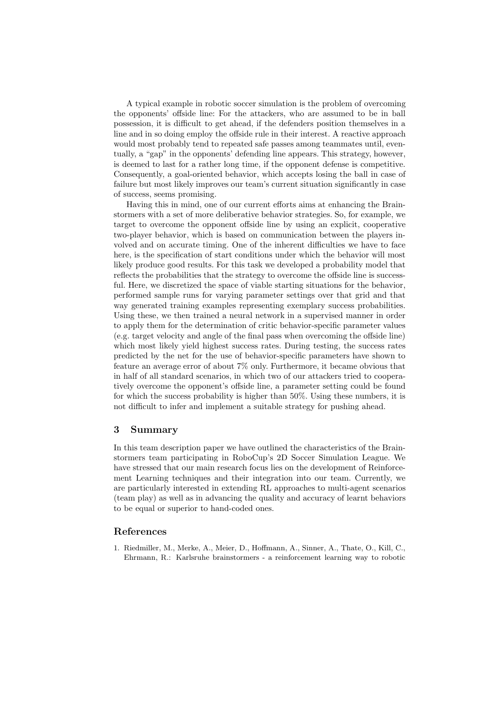A typical example in robotic soccer simulation is the problem of overcoming the opponents' offside line: For the attackers, who are assumed to be in ball possession, it is difficult to get ahead, if the defenders position themselves in a line and in so doing employ the offside rule in their interest. A reactive approach would most probably tend to repeated safe passes among teammates until, eventually, a "gap" in the opponents' defending line appears. This strategy, however, is deemed to last for a rather long time, if the opponent defense is competitive. Consequently, a goal-oriented behavior, which accepts losing the ball in case of failure but most likely improves our team's current situation significantly in case of success, seems promising.

Having this in mind, one of our current efforts aims at enhancing the Brainstormers with a set of more deliberative behavior strategies. So, for example, we target to overcome the opponent offside line by using an explicit, cooperative two-player behavior, which is based on communication between the players involved and on accurate timing. One of the inherent difficulties we have to face here, is the specification of start conditions under which the behavior will most likely produce good results. For this task we developed a probability model that reflects the probabilities that the strategy to overcome the offside line is successful. Here, we discretized the space of viable starting situations for the behavior, performed sample runs for varying parameter settings over that grid and that way generated training examples representing exemplary success probabilities. Using these, we then trained a neural network in a supervised manner in order to apply them for the determination of critic behavior-specific parameter values (e.g. target velocity and angle of the final pass when overcoming the offside line) which most likely yield highest success rates. During testing, the success rates predicted by the net for the use of behavior-specific parameters have shown to feature an average error of about 7% only. Furthermore, it became obvious that in half of all standard scenarios, in which two of our attackers tried to cooperatively overcome the opponent's offside line, a parameter setting could be found for which the success probability is higher than 50%. Using these numbers, it is not difficult to infer and implement a suitable strategy for pushing ahead.

### 3 Summary

In this team description paper we have outlined the characteristics of the Brainstormers team participating in RoboCup's 2D Soccer Simulation League. We have stressed that our main research focus lies on the development of Reinforcement Learning techniques and their integration into our team. Currently, we are particularly interested in extending RL approaches to multi-agent scenarios (team play) as well as in advancing the quality and accuracy of learnt behaviors to be equal or superior to hand-coded ones.

## References

1. Riedmiller, M., Merke, A., Meier, D., Hoffmann, A., Sinner, A., Thate, O., Kill, C., Ehrmann, R.: Karlsruhe brainstormers - a reinforcement learning way to robotic